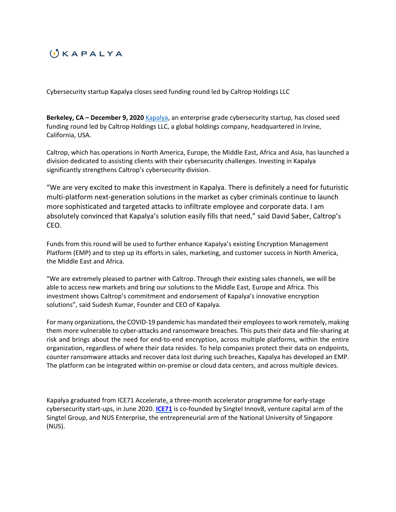## $\left( \cdot \right)$   $K$  A P A L Y A

Cybersecurity startup Kapalya closes seed funding round led by Caltrop Holdings LLC

**Berkeley, CA – December 9, 2020** [Kapalya](https://kapalya.com/), an enterprise grade cybersecurity startup, has closed seed funding round led by Caltrop Holdings LLC, a global holdings company, headquartered in Irvine, California, USA.

Caltrop, which has operations in North America, Europe, the Middle East, Africa and Asia, has launched a division dedicated to assisting clients with their cybersecurity challenges. Investing in Kapalya significantly strengthens Caltrop's cybersecurity division.

"We are very excited to make this investment in Kapalya. There is definitely a need for futuristic multi-platform next-generation solutions in the market as cyber criminals continue to launch more sophisticated and targeted attacks to infiltrate employee and corporate data. I am absolutely convinced that Kapalya's solution easily fills that need," said David Saber, Caltrop's CEO.

Funds from this round will be used to further enhance Kapalya's existing Encryption Management Platform (EMP) and to step up its efforts in sales, marketing, and customer success in North America, the Middle East and Africa.

"We are extremely pleased to partner with Caltrop. Through their existing sales channels, we will be able to access new markets and bring our solutions to the Middle East, Europe and Africa. This investment shows Caltrop's commitment and endorsement of Kapalya's innovative encryption solutions", said Sudesh Kumar, Founder and CEO of Kapalya.

For many organizations, the COVID-19 pandemic has mandated their employees to work remotely, making them more vulnerable to cyber-attacks and ransomware breaches. This puts their data and file-sharing at risk and brings about the need for end-to-end encryption, across multiple platforms, within the entire organization, regardless of where their data resides. To help companies protect their data on endpoints, counter ransomware attacks and recover data lost during such breaches, Kapalya has developed an EMP. The platform can be integrated within on-premise or cloud data centers, and across multiple devices.

Kapalya graduated from ICE71 Accelerate, a three-month accelerator programme for early-stage cybersecurity start-ups, in June 2020. **[ICE71](https://ice71.sg/)** is co-founded by Singtel Innov8, venture capital arm of the Singtel Group, and NUS Enterprise, the entrepreneurial arm of the National University of Singapore (NUS).